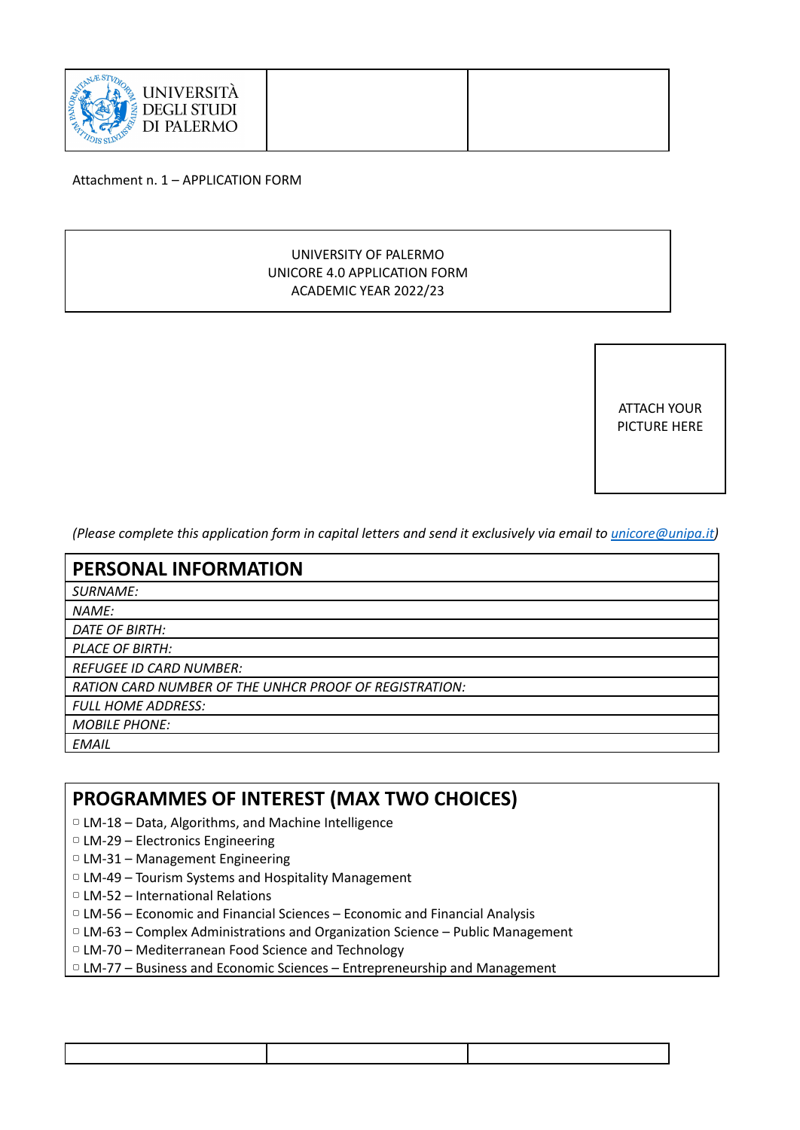

Attachment n. 1 – APPLICATION FORM

#### UNIVERSITY OF PALERMO UNICORE 4.0 APPLICATION FORM ACADEMIC YEAR 2022/23

ATTACH YOUR PICTURE HERE

(Please complete this application form in capital letters and send it exclusively via email to *[unicore@unipa.it](mailto:unicore@unipa.it)*)

| <b>PERSONAL INFORMATION</b>                                   |
|---------------------------------------------------------------|
| <b>SURNAME:</b>                                               |
| <b>NAME:</b>                                                  |
| DATE OF BIRTH:                                                |
| <b>PLACE OF BIRTH:</b>                                        |
| <b>REFUGEE ID CARD NUMBER:</b>                                |
| <b>RATION CARD NUMBER OF THE UNHCR PROOF OF REGISTRATION:</b> |
| <b>FULL HOME ADDRESS:</b>                                     |
| <b>MOBILE PHONE:</b>                                          |
| <b>EMAIL</b>                                                  |

#### **PROGRAMMES OF INTEREST (MAX TWO CHOICES)**

- ▢ LM-18 Data, Algorithms, and Machine Intelligence
- ▢ LM-29 Electronics Engineering
- ▢ LM-31 Management Engineering
- ▢ LM-49 Tourism Systems and Hospitality Management
- ▢ LM-52 International Relations
- ▢ LM-56 Economic and Financial Sciences Economic and Financial Analysis
- ▢ LM-63 Complex Administrations and Organization Science Public Management
- ▢ LM-70 Mediterranean Food Science and Technology
- ▢ LM-77 Business and Economic Sciences Entrepreneurship and Management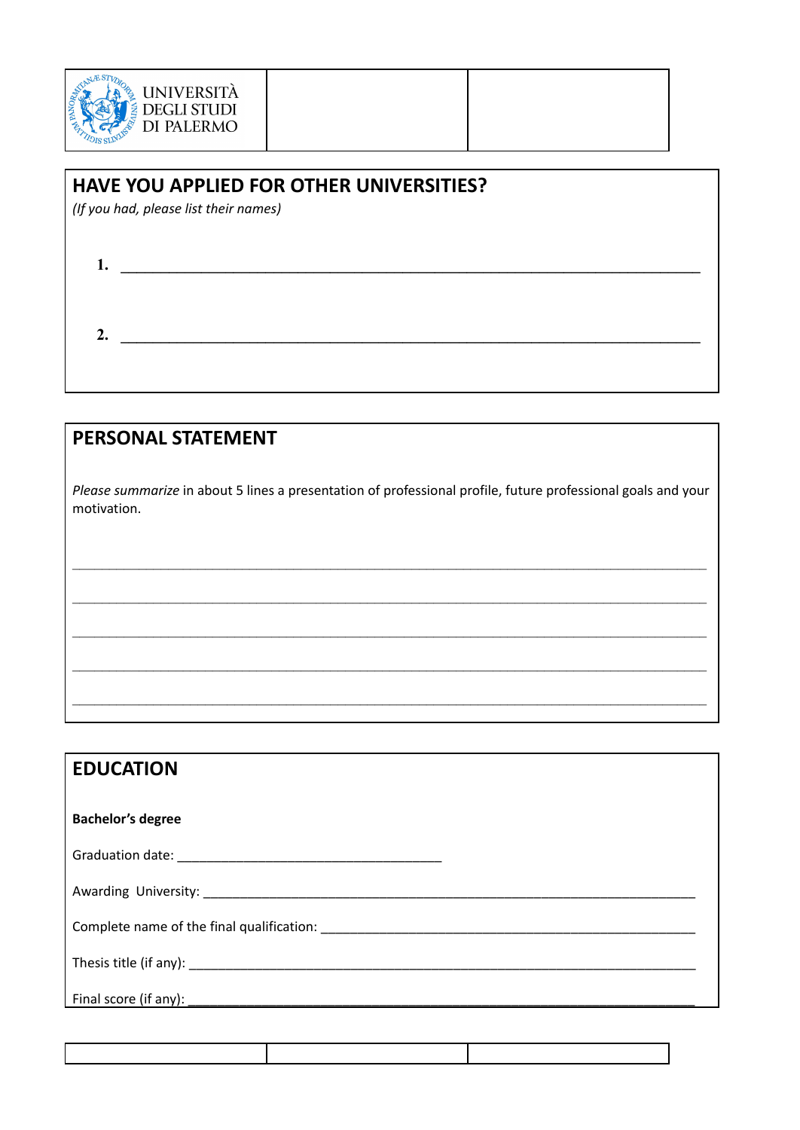

### HAVE YOU APPLIED FOR OTHER UNIVERSITIES?

(If you had, please list their names)

| ، ، |  |  |  |
|-----|--|--|--|
|     |  |  |  |

# **PERSONAL STATEMENT**

Please summarize in about 5 lines a presentation of professional profile, future professional goals and your motivation.

| <b>EDUCATION</b>         |
|--------------------------|
| <b>Bachelor's degree</b> |
|                          |
|                          |
|                          |
|                          |
| Final score (if any):    |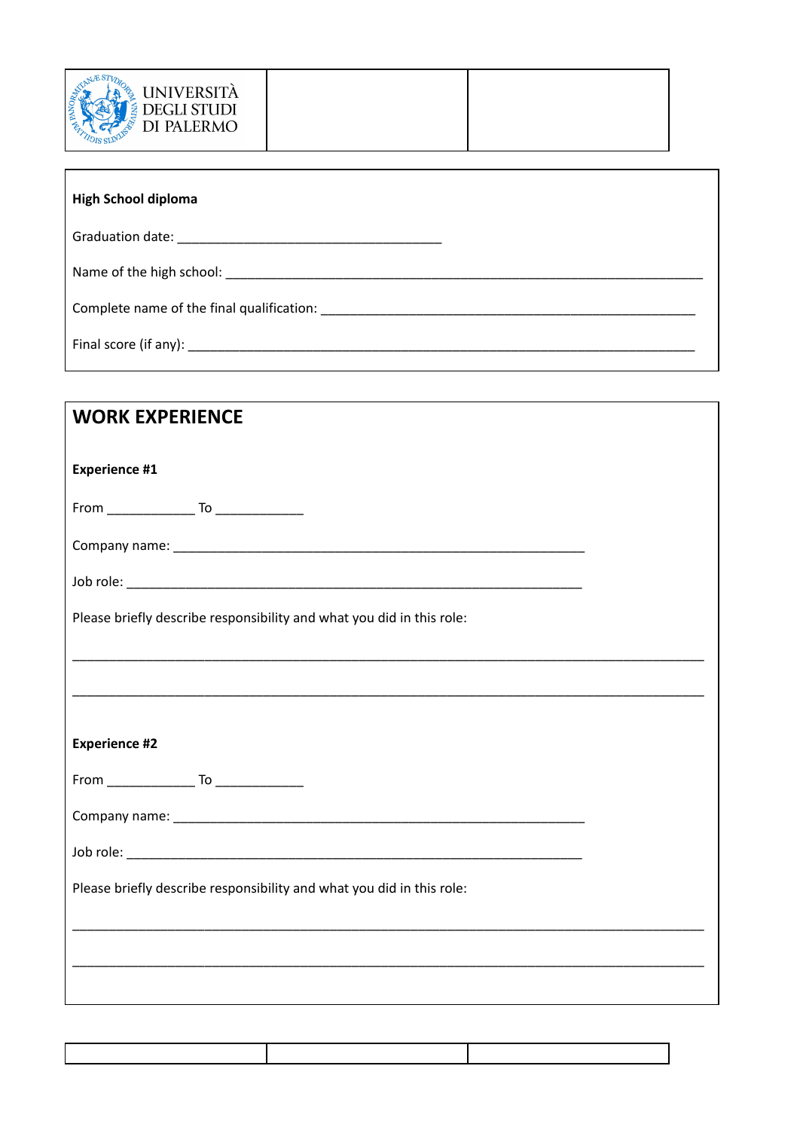

Г

| <b>DEGLI STUDI</b><br>DI PALERMO |
|----------------------------------|
|----------------------------------|

| <b>High School diploma</b>                                                                |  |  |
|-------------------------------------------------------------------------------------------|--|--|
|                                                                                           |  |  |
|                                                                                           |  |  |
| Complete name of the final qualification: example to the same of the final qualification: |  |  |
|                                                                                           |  |  |

| <b>WORK EXPERIENCE</b>                                                |
|-----------------------------------------------------------------------|
| <b>Experience #1</b>                                                  |
|                                                                       |
|                                                                       |
|                                                                       |
| Please briefly describe responsibility and what you did in this role: |
|                                                                       |
|                                                                       |
| <b>Experience #2</b>                                                  |
|                                                                       |
|                                                                       |
|                                                                       |
| Please briefly describe responsibility and what you did in this role: |
|                                                                       |
|                                                                       |
|                                                                       |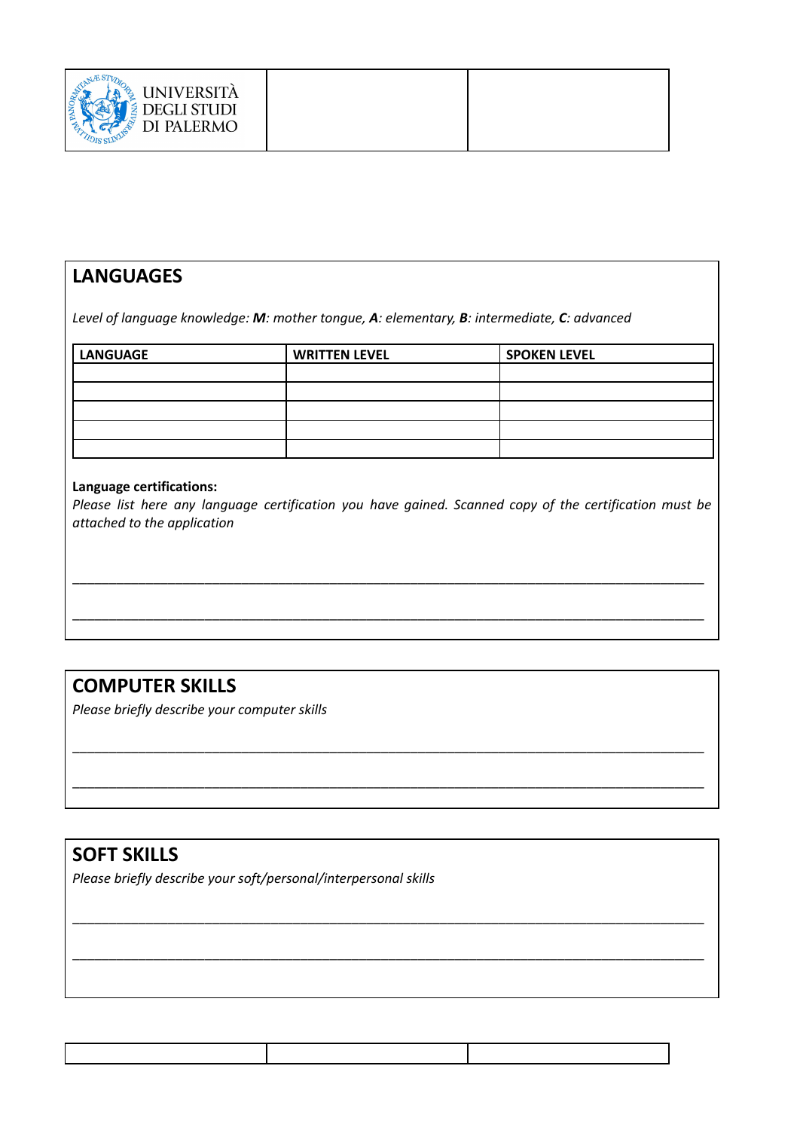| UNIVERSITÀ<br><b>DEGLI STUDI</b><br>DI PALERMO |  |  |
|------------------------------------------------|--|--|
|------------------------------------------------|--|--|

## **LANGUAGES**

*Level of language knowledge: M: mother tongue, A: elementary, B: intermediate, C: advanced*

| LANGUAGE | <b>WRITTEN LEVEL</b> | <b>SPOKEN LEVEL</b> |
|----------|----------------------|---------------------|
|          |                      |                     |
|          |                      |                     |
|          |                      |                     |
|          |                      |                     |
|          |                      |                     |

#### **Language certifications:**

*Please list here any language certification you have gained. Scanned copy of the certification must be attached to the application*

\_\_\_\_\_\_\_\_\_\_\_\_\_\_\_\_\_\_\_\_\_\_\_\_\_\_\_\_\_\_\_\_\_\_\_\_\_\_\_\_\_\_\_\_\_\_\_\_\_\_\_\_\_\_\_\_\_\_\_\_\_\_\_\_\_\_\_\_\_\_\_\_\_\_\_\_\_\_\_\_\_\_\_\_\_\_

\_\_\_\_\_\_\_\_\_\_\_\_\_\_\_\_\_\_\_\_\_\_\_\_\_\_\_\_\_\_\_\_\_\_\_\_\_\_\_\_\_\_\_\_\_\_\_\_\_\_\_\_\_\_\_\_\_\_\_\_\_\_\_\_\_\_\_\_\_\_\_\_\_\_\_\_\_\_\_\_\_\_\_\_\_\_

\_\_\_\_\_\_\_\_\_\_\_\_\_\_\_\_\_\_\_\_\_\_\_\_\_\_\_\_\_\_\_\_\_\_\_\_\_\_\_\_\_\_\_\_\_\_\_\_\_\_\_\_\_\_\_\_\_\_\_\_\_\_\_\_\_\_\_\_\_\_\_\_\_\_\_\_\_\_\_\_\_\_\_\_\_\_

\_\_\_\_\_\_\_\_\_\_\_\_\_\_\_\_\_\_\_\_\_\_\_\_\_\_\_\_\_\_\_\_\_\_\_\_\_\_\_\_\_\_\_\_\_\_\_\_\_\_\_\_\_\_\_\_\_\_\_\_\_\_\_\_\_\_\_\_\_\_\_\_\_\_\_\_\_\_\_\_\_\_\_\_\_\_

\_\_\_\_\_\_\_\_\_\_\_\_\_\_\_\_\_\_\_\_\_\_\_\_\_\_\_\_\_\_\_\_\_\_\_\_\_\_\_\_\_\_\_\_\_\_\_\_\_\_\_\_\_\_\_\_\_\_\_\_\_\_\_\_\_\_\_\_\_\_\_\_\_\_\_\_\_\_\_\_\_\_\_\_\_\_

\_\_\_\_\_\_\_\_\_\_\_\_\_\_\_\_\_\_\_\_\_\_\_\_\_\_\_\_\_\_\_\_\_\_\_\_\_\_\_\_\_\_\_\_\_\_\_\_\_\_\_\_\_\_\_\_\_\_\_\_\_\_\_\_\_\_\_\_\_\_\_\_\_\_\_\_\_\_\_\_\_\_\_\_\_\_

# **COMPUTER SKILLS**

*Please briefly describe your computer skills*

#### **SOFT SKILLS**

*Please briefly describe your soft/personal/interpersonal skills*